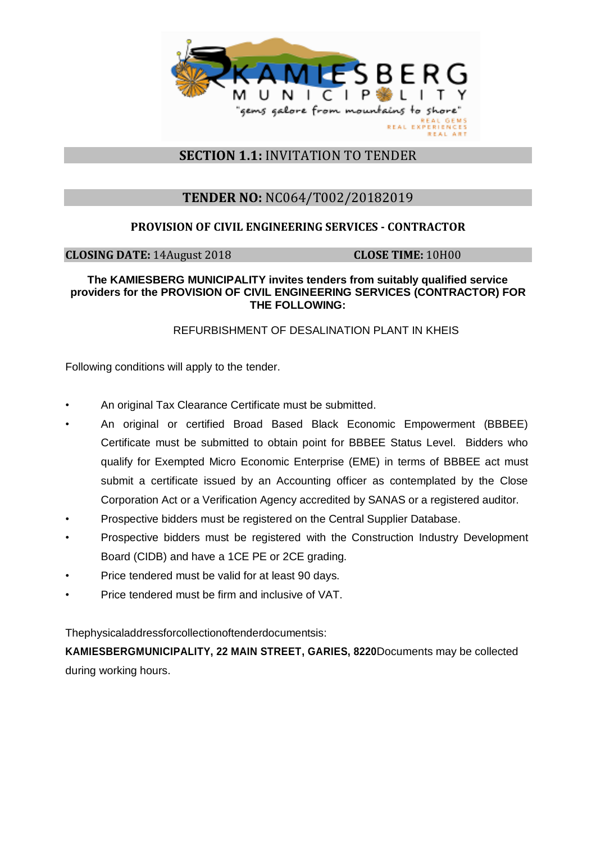

# **SECTION 1.1:** INVITATION TO TENDER

# **TENDER NO:** NC064/T002/20182019

### **PROVISION OF CIVIL ENGINEERING SERVICES - CONTRACTOR**

**CLOSING DATE:** 14August 2018 **CLOSE TIME:** 10H00

#### **The KAMIESBERG MUNICIPALITY invites tenders from suitably qualified service providers for the PROVISION OF CIVIL ENGINEERING SERVICES (CONTRACTOR) FOR THE FOLLOWING:**

### REFURBISHMENT OF DESALINATION PLANT IN KHEIS

Following conditions will apply to the tender.

- An original Tax Clearance Certificate must be submitted.
- An original or certified Broad Based Black Economic Empowerment (BBBEE) Certificate must be submitted to obtain point for BBBEE Status Level. Bidders who qualify for Exempted Micro Economic Enterprise (EME) in terms of BBBEE act must submit a certificate issued by an Accounting officer as contemplated by the Close Corporation Act or a Verification Agency accredited by SANAS or a registered auditor.
- Prospective bidders must be registered on the Central Supplier Database.
- Prospective bidders must be registered with the Construction Industry Development Board (CIDB) and have a 1CE PE or 2CE grading.
- Price tendered must be valid for at least 90 days.
- Price tendered must be firm and inclusive of VAT.

Thephysicaladdressforcollectionoftenderdocumentsis:

**KAMIESBERGMUNICIPALITY, 22 MAIN STREET, GARIES, 8220**Documents may be collected during working hours.